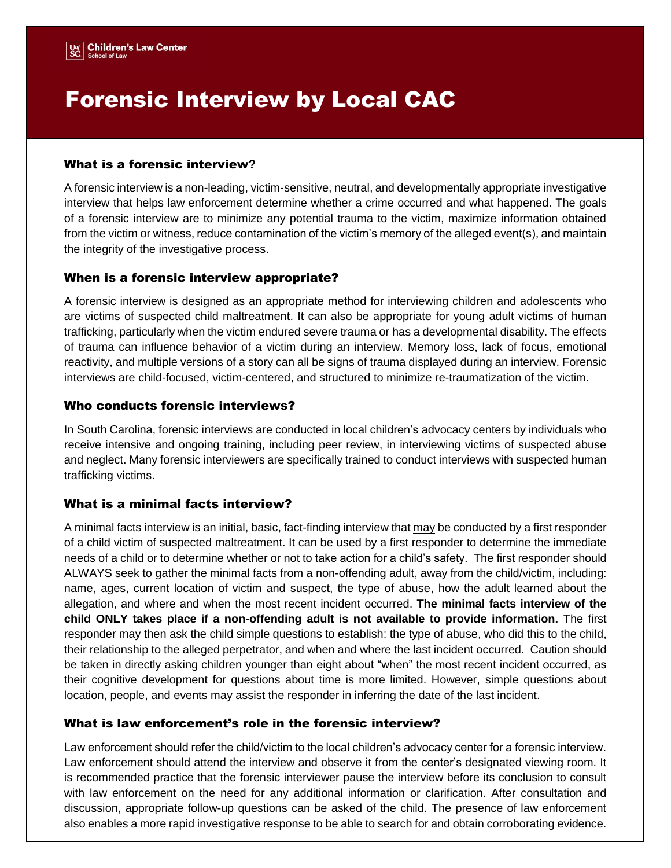# Forensic Interview by Local CAC

#### What is a forensic interview**?**

A forensic interview is a non-leading, victim-sensitive, neutral, and developmentally appropriate investigative interview that helps law enforcement determine whether a crime occurred and what happened. The goals of a forensic interview are to minimize any potential trauma to the victim, maximize information obtained from the victim or witness, reduce contamination of the victim's memory of the alleged event(s), and maintain the integrity of the investigative process.

## When is a forensic interview appropriate?

A forensic interview is designed as an appropriate method for interviewing children and adolescents who are victims of suspected child maltreatment. It can also be appropriate for young adult victims of human trafficking, particularly when the victim endured severe trauma or has a developmental disability. The effects of trauma can influence behavior of a victim during an interview. Memory loss, lack of focus, emotional reactivity, and multiple versions of a story can all be signs of trauma displayed during an interview. Forensic interviews are child-focused, victim-centered, and structured to minimize re-traumatization of the victim.

## Who conducts forensic interviews?

In South Carolina, forensic interviews are conducted in local children's advocacy centers by individuals who receive intensive and ongoing training, including peer review, in interviewing victims of suspected abuse and neglect. Many forensic interviewers are specifically trained to conduct interviews with suspected human trafficking victims.

# What is a minimal facts interview?

A minimal facts interview is an initial, basic, fact-finding interview that may be conducted by a first responder of a child victim of suspected maltreatment. It can be used by a first responder to determine the immediate needs of a child or to determine whether or not to take action for a child's safety. The first responder should ALWAYS seek to gather the minimal facts from a non-offending adult, away from the child/victim, including: name, ages, current location of victim and suspect, the type of abuse, how the adult learned about the allegation, and where and when the most recent incident occurred. **The minimal facts interview of the child ONLY takes place if a non-offending adult is not available to provide information.** The first responder may then ask the child simple questions to establish: the type of abuse, who did this to the child, their relationship to the alleged perpetrator, and when and where the last incident occurred. Caution should be taken in directly asking children younger than eight about "when" the most recent incident occurred, as their cognitive development for questions about time is more limited. However, simple questions about location, people, and events may assist the responder in inferring the date of the last incident.

#### What is law enforcement's role in the forensic interview?

Law enforcement should refer the child/victim to the local children's advocacy center for a forensic interview. Law enforcement should attend the interview and observe it from the center's designated viewing room. It is recommended practice that the forensic interviewer pause the interview before its conclusion to consult with law enforcement on the need for any additional information or clarification. After consultation and discussion, appropriate follow-up questions can be asked of the child. The presence of law enforcement also enables a more rapid investigative response to be able to search for and obtain corroborating evidence.